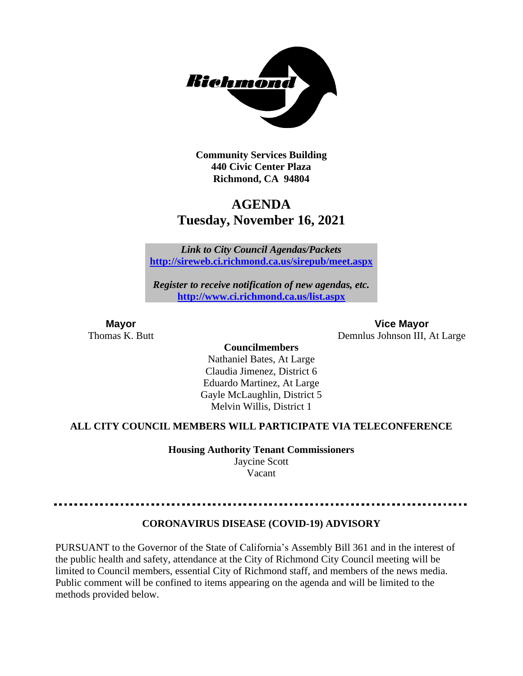

**Community Services Building 440 Civic Center Plaza Richmond, CA 94804**

# **AGENDA Tuesday, November 16, 2021**

*Link to City Council Agendas/Packets* **<http://sireweb.ci.richmond.ca.us/sirepub/meet.aspx>**

*Register to receive notification of new agendas, etc.* **<http://www.ci.richmond.ca.us/list.aspx>**

**Mayor Vice Mayor** Thomas K. Butt Demnlus Johnson III, At Large

> **Councilmembers** Nathaniel Bates, At Large Claudia Jimenez, District 6 Eduardo Martinez, At Large Gayle McLaughlin, District 5 Melvin Willis, District 1

#### **ALL CITY COUNCIL MEMBERS WILL PARTICIPATE VIA TELECONFERENCE**

**Housing Authority Tenant Commissioners**

Jaycine Scott Vacant

#### **CORONAVIRUS DISEASE (COVID-19) ADVISORY**

PURSUANT to the Governor of the State of California's Assembly Bill 361 and in the interest of the public health and safety, attendance at the City of Richmond City Council meeting will be limited to Council members, essential City of Richmond staff, and members of the news media. Public comment will be confined to items appearing on the agenda and will be limited to the methods provided below.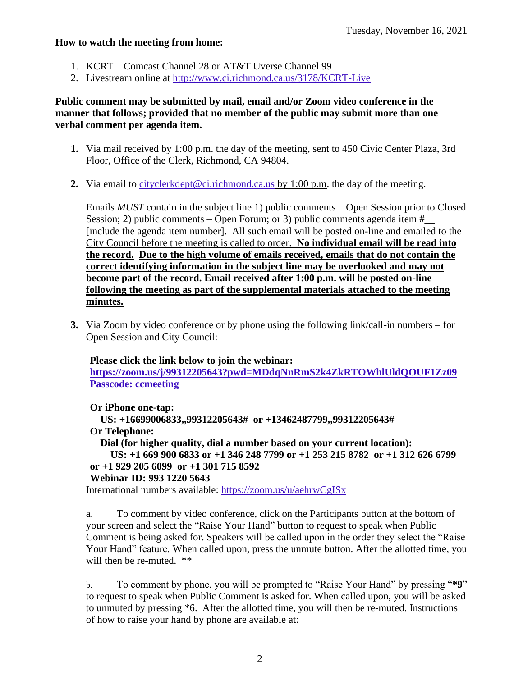#### **How to watch the meeting from home:**

- 1. KCRT Comcast Channel 28 or AT&T Uverse Channel 99
- 2. Livestream online at<http://www.ci.richmond.ca.us/3178/KCRT-Live>

#### **Public comment may be submitted by mail, email and/or Zoom video conference in the manner that follows; provided that no member of the public may submit more than one verbal comment per agenda item.**

- **1.** Via mail received by 1:00 p.m. the day of the meeting, sent to 450 Civic Center Plaza, 3rd Floor, Office of the Clerk, Richmond, CA 94804.
- **2.** Via email to [cityclerkdept@ci.richmond.ca.us](mailto:cityclerkdept@ci.richmond.ca.us) by 1:00 p.m. the day of the meeting.

Emails *MUST* contain in the subject line 1) public comments – Open Session prior to Closed Session; 2) public comments – Open Forum; or 3) public comments agenda item  $#$ [include the agenda item number]. All such email will be posted on-line and emailed to the City Council before the meeting is called to order. **No individual email will be read into the record. Due to the high volume of emails received, emails that do not contain the correct identifying information in the subject line may be overlooked and may not become part of the record. Email received after 1:00 p.m. will be posted on-line following the meeting as part of the supplemental materials attached to the meeting minutes.**

**3.** Via Zoom by video conference or by phone using the following link/call-in numbers – for Open Session and City Council:

#### **Please click the link below to join the webinar:**

**<https://zoom.us/j/99312205643?pwd=MDdqNnRmS2k4ZkRTOWhlUldQOUF1Zz09> Passcode: ccmeeting**

**Or iPhone one-tap:**

**US: +16699006833,,99312205643# or +13462487799,,99312205643#**

#### **Or Telephone:**

**Dial (for higher quality, dial a number based on your current location):**

```
US: +1 669 900 6833 or +1 346 248 7799 or +1 253 215 8782 or +1 312 626 6799
or +1 929 205 6099 or +1 301 715 8592
```
### **Webinar ID: 993 1220 5643**

International numbers available: <https://zoom.us/u/aehrwCgISx>

a. To comment by video conference, click on the Participants button at the bottom of your screen and select the "Raise Your Hand" button to request to speak when Public Comment is being asked for. Speakers will be called upon in the order they select the "Raise Your Hand" feature. When called upon, press the unmute button. After the allotted time, you will then be re-muted.  $**$ 

b. To comment by phone, you will be prompted to "Raise Your Hand" by pressing "**\*9**" to request to speak when Public Comment is asked for. When called upon, you will be asked to unmuted by pressing \*6. After the allotted time, you will then be re-muted. Instructions of how to raise your hand by phone are available at: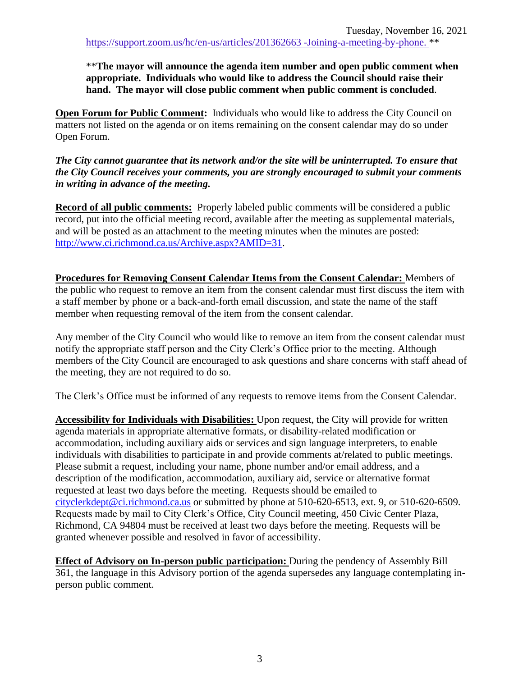#### \*\***The mayor will announce the agenda item number and open public comment when appropriate. Individuals who would like to address the Council should raise their hand. The mayor will close public comment when public comment is concluded**.

**Open Forum for Public Comment:** Individuals who would like to address the City Council on matters not listed on the agenda or on items remaining on the consent calendar may do so under Open Forum.

#### *The City cannot guarantee that its network and/or the site will be uninterrupted. To ensure that the City Council receives your comments, you are strongly encouraged to submit your comments in writing in advance of the meeting.*

**Record of all public comments:** Properly labeled public comments will be considered a public record, put into the official meeting record, available after the meeting as supplemental materials, and will be posted as an attachment to the meeting minutes when the minutes are posted: [http://www.ci.richmond.ca.us/Archive.aspx?AMID=31.](http://www.ci.richmond.ca.us/Archive.aspx?AMID=31)

**Procedures for Removing Consent Calendar Items from the Consent Calendar:** Members of the public who request to remove an item from the consent calendar must first discuss the item with a staff member by phone or a back-and-forth email discussion, and state the name of the staff member when requesting removal of the item from the consent calendar.

Any member of the City Council who would like to remove an item from the consent calendar must notify the appropriate staff person and the City Clerk's Office prior to the meeting. Although members of the City Council are encouraged to ask questions and share concerns with staff ahead of the meeting, they are not required to do so.

The Clerk's Office must be informed of any requests to remove items from the Consent Calendar.

**Accessibility for Individuals with Disabilities:** Upon request, the City will provide for written agenda materials in appropriate alternative formats, or disability-related modification or accommodation, including auxiliary aids or services and sign language interpreters, to enable individuals with disabilities to participate in and provide comments at/related to public meetings. Please submit a request, including your name, phone number and/or email address, and a description of the modification, accommodation, auxiliary aid, service or alternative format requested at least two days before the meeting. Requests should be emailed to [cityclerkdept@ci.richmond.ca.us](mailto:cityclerkdept@ci.richmond.ca.us) or submitted by phone at 510-620-6513, ext. 9, or 510-620-6509. Requests made by mail to City Clerk's Office, City Council meeting, 450 Civic Center Plaza, Richmond, CA 94804 must be received at least two days before the meeting. Requests will be granted whenever possible and resolved in favor of accessibility.

**Effect of Advisory on In-person public participation:** During the pendency of Assembly Bill 361, the language in this Advisory portion of the agenda supersedes any language contemplating inperson public comment.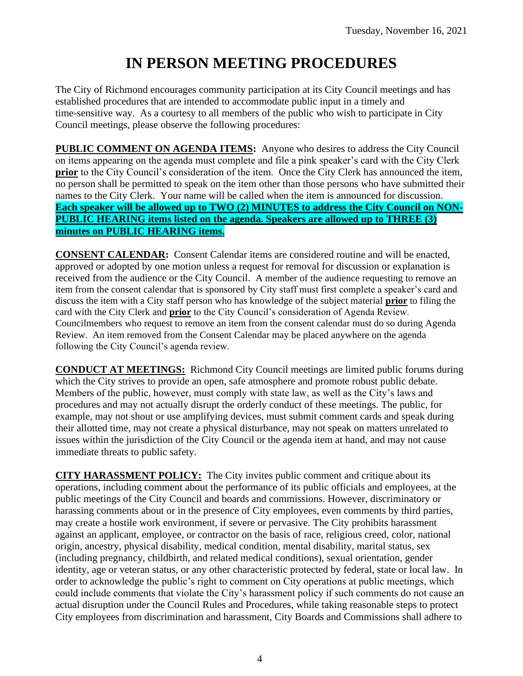# **IN PERSON MEETING PROCEDURES**

The City of Richmond encourages community participation at its City Council meetings and has established procedures that are intended to accommodate public input in a timely and time-sensitive way. As a courtesy to all members of the public who wish to participate in City Council meetings, please observe the following procedures:

**PUBLIC COMMENT ON AGENDA ITEMS:** Anyone who desires to address the City Council on items appearing on the agenda must complete and file a pink speaker's card with the City Clerk **prior** to the City Council's consideration of the item. Once the City Clerk has announced the item, no person shall be permitted to speak on the item other than those persons who have submitted their names to the City Clerk. Your name will be called when the item is announced for discussion. **Each speaker will be allowed up to TWO (2) MINUTES to address the City Council on NON-PUBLIC HEARING items listed on the agenda. Speakers are allowed up to THREE (3) minutes on PUBLIC HEARING items.**

**CONSENT CALENDAR:** Consent Calendar items are considered routine and will be enacted, approved or adopted by one motion unless a request for removal for discussion or explanation is received from the audience or the City Council. A member of the audience requesting to remove an item from the consent calendar that is sponsored by City staff must first complete a speaker's card and discuss the item with a City staff person who has knowledge of the subject material **prior** to filing the card with the City Clerk and **prior** to the City Council's consideration of Agenda Review. Councilmembers who request to remove an item from the consent calendar must do so during Agenda Review. An item removed from the Consent Calendar may be placed anywhere on the agenda following the City Council's agenda review.

**CONDUCT AT MEETINGS:** Richmond City Council meetings are limited public forums during which the City strives to provide an open, safe atmosphere and promote robust public debate. Members of the public, however, must comply with state law, as well as the City's laws and procedures and may not actually disrupt the orderly conduct of these meetings. The public, for example, may not shout or use amplifying devices, must submit comment cards and speak during their allotted time, may not create a physical disturbance, may not speak on matters unrelated to issues within the jurisdiction of the City Council or the agenda item at hand, and may not cause immediate threats to public safety.

**CITY HARASSMENT POLICY:** The City invites public comment and critique about its operations, including comment about the performance of its public officials and employees, at the public meetings of the City Council and boards and commissions. However, discriminatory or harassing comments about or in the presence of City employees, even comments by third parties, may create a hostile work environment, if severe or pervasive. The City prohibits harassment against an applicant, employee, or contractor on the basis of race, religious creed, color, national origin, ancestry, physical disability, medical condition, mental disability, marital status, sex (including pregnancy, childbirth, and related medical conditions), sexual orientation, gender identity, age or veteran status, or any other characteristic protected by federal, state or local law. In order to acknowledge the public's right to comment on City operations at public meetings, which could include comments that violate the City's harassment policy if such comments do not cause an actual disruption under the Council Rules and Procedures, while taking reasonable steps to protect City employees from discrimination and harassment, City Boards and Commissions shall adhere to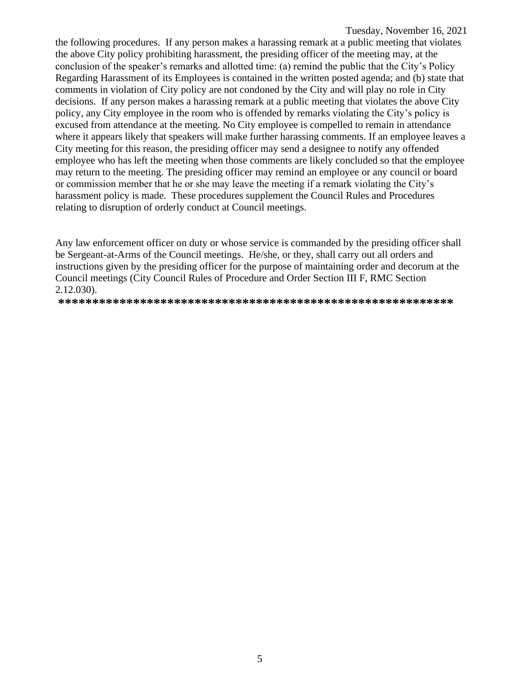the following procedures. If any person makes a harassing remark at a public meeting that violates the above City policy prohibiting harassment, the presiding officer of the meeting may, at the conclusion of the speaker's remarks and allotted time: (a) remind the public that the City's Policy Regarding Harassment of its Employees is contained in the written posted agenda; and (b) state that comments in violation of City policy are not condoned by the City and will play no role in City decisions. If any person makes a harassing remark at a public meeting that violates the above City policy, any City employee in the room who is offended by remarks violating the City's policy is excused from attendance at the meeting. No City employee is compelled to remain in attendance where it appears likely that speakers will make further harassing comments. If an employee leaves a City meeting for this reason, the presiding officer may send a designee to notify any offended employee who has left the meeting when those comments are likely concluded so that the employee may return to the meeting. The presiding officer may remind an employee or any council or board or commission member that he or she may leave the meeting if a remark violating the City's harassment policy is made. These procedures supplement the Council Rules and Procedures relating to disruption of orderly conduct at Council meetings.

Any law enforcement officer on duty or whose service is commanded by the presiding officer shall be Sergeant-at-Arms of the Council meetings. He/she, or they, shall carry out all orders and instructions given by the presiding officer for the purpose of maintaining order and decorum at the Council meetings (City Council Rules of Procedure and Order Section III F, RMC Section 2.12.030).

**\*\*\*\*\*\*\*\*\*\*\*\*\*\*\*\*\*\*\*\*\*\*\*\*\*\*\*\*\*\*\*\*\*\*\*\*\*\*\*\*\*\*\*\*\*\*\*\*\*\*\*\*\*\*\*\*\*\***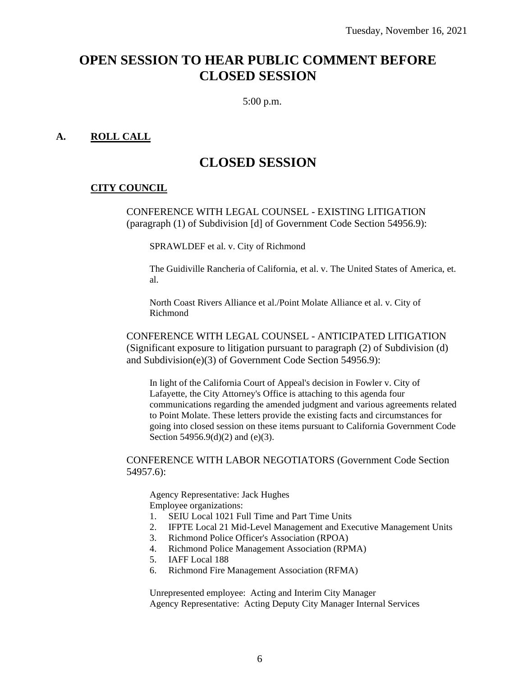# **OPEN SESSION TO HEAR PUBLIC COMMENT BEFORE CLOSED SESSION**

5:00 p.m.

#### **A. ROLL CALL**

## **CLOSED SESSION**

#### **CITY COUNCIL**

CONFERENCE WITH LEGAL COUNSEL - EXISTING LITIGATION (paragraph (1) of Subdivision [d] of Government Code Section 54956.9):

SPRAWLDEF et al. v. City of Richmond

The Guidiville Rancheria of California, et al. v. The United States of America, et. al.

North Coast Rivers Alliance et al./Point Molate Alliance et al. v. City of Richmond

CONFERENCE WITH LEGAL COUNSEL - ANTICIPATED LITIGATION (Significant exposure to litigation pursuant to paragraph (2) of Subdivision (d) and Subdivision(e)(3) of Government Code Section 54956.9):

In light of the California Court of Appeal's decision in Fowler v. City of Lafayette, the City Attorney's Office is attaching to this agenda four communications regarding the amended judgment and various agreements related to Point Molate. These letters provide the existing facts and circumstances for going into closed session on these items pursuant to California Government Code Section 54956.9(d)(2) and (e)(3).

CONFERENCE WITH LABOR NEGOTIATORS (Government Code Section 54957.6):

Agency Representative: Jack Hughes Employee organizations:

- 1. SEIU Local 1021 Full Time and Part Time Units
- 2. IFPTE Local 21 Mid-Level Management and Executive Management Units
- 3. Richmond Police Officer's Association (RPOA)
- 4. Richmond Police Management Association (RPMA)
- 5. IAFF Local 188
- 6. Richmond Fire Management Association (RFMA)

Unrepresented employee: Acting and Interim City Manager Agency Representative: Acting Deputy City Manager Internal Services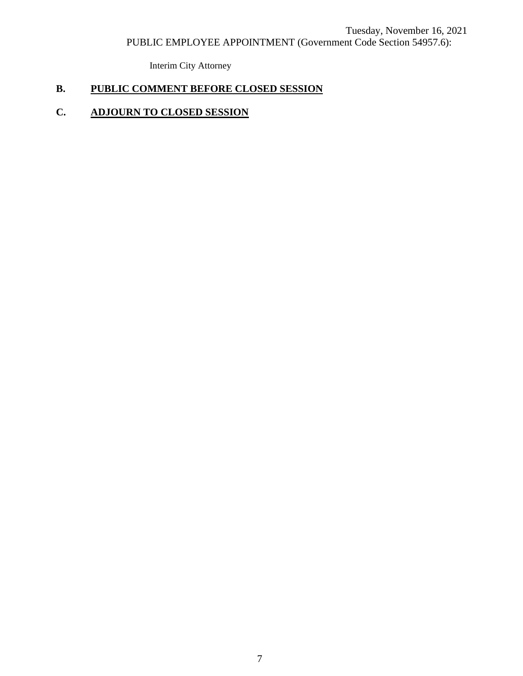Interim City Attorney

## **B. PUBLIC COMMENT BEFORE CLOSED SESSION**

### **C. ADJOURN TO CLOSED SESSION**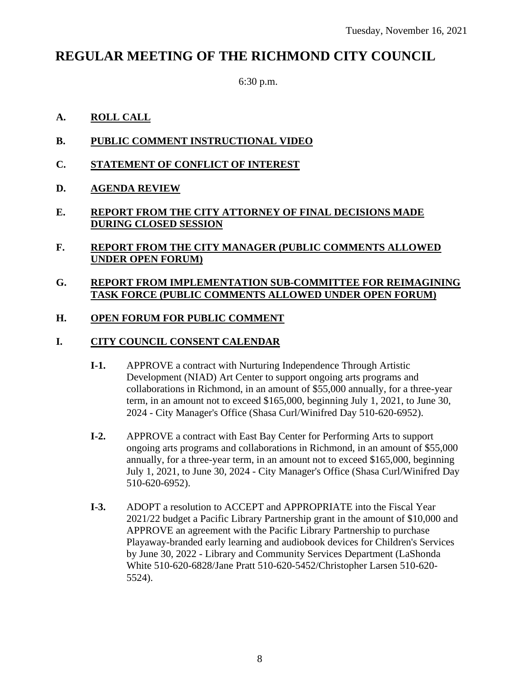# **REGULAR MEETING OF THE RICHMOND CITY COUNCIL**

6:30 p.m.

- **A. ROLL CALL**
- **B. PUBLIC COMMENT INSTRUCTIONAL VIDEO**
- **C. STATEMENT OF CONFLICT OF INTEREST**
- **D. AGENDA REVIEW**
- **E. REPORT FROM THE CITY ATTORNEY OF FINAL DECISIONS MADE DURING CLOSED SESSION**
- **F. REPORT FROM THE CITY MANAGER (PUBLIC COMMENTS ALLOWED UNDER OPEN FORUM)**

#### **G. REPORT FROM IMPLEMENTATION SUB-COMMITTEE FOR REIMAGINING TASK FORCE (PUBLIC COMMENTS ALLOWED UNDER OPEN FORUM)**

#### **H. OPEN FORUM FOR PUBLIC COMMENT**

#### **I. CITY COUNCIL CONSENT CALENDAR**

- **I-1.** APPROVE a contract with Nurturing Independence Through Artistic Development (NIAD) Art Center to support ongoing arts programs and collaborations in Richmond, in an amount of \$55,000 annually, for a three-year term, in an amount not to exceed \$165,000, beginning July 1, 2021, to June 30, 2024 - City Manager's Office (Shasa Curl/Winifred Day 510-620-6952).
- **I-2.** APPROVE a contract with East Bay Center for Performing Arts to support ongoing arts programs and collaborations in Richmond, in an amount of \$55,000 annually, for a three-year term, in an amount not to exceed \$165,000, beginning July 1, 2021, to June 30, 2024 - City Manager's Office (Shasa Curl/Winifred Day 510-620-6952).
- **I-3.** ADOPT a resolution to ACCEPT and APPROPRIATE into the Fiscal Year 2021/22 budget a Pacific Library Partnership grant in the amount of \$10,000 and APPROVE an agreement with the Pacific Library Partnership to purchase Playaway-branded early learning and audiobook devices for Children's Services by June 30, 2022 - Library and Community Services Department (LaShonda White 510-620-6828/Jane Pratt 510-620-5452/Christopher Larsen 510-620- 5524).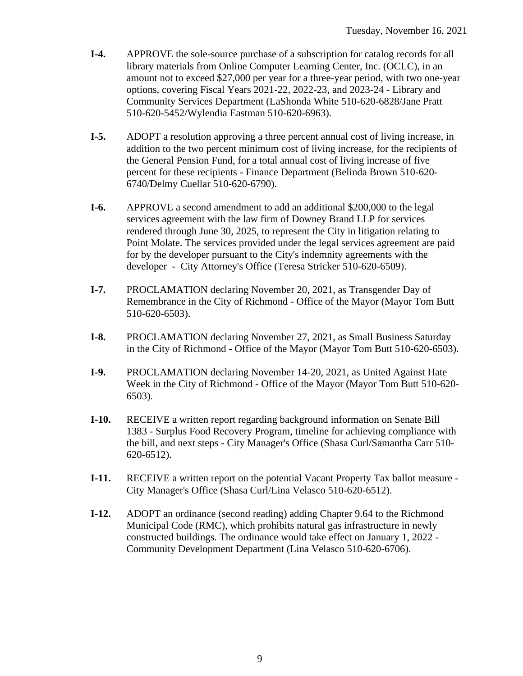- **I-4.** APPROVE the sole-source purchase of a subscription for catalog records for all library materials from Online Computer Learning Center, Inc. (OCLC), in an amount not to exceed \$27,000 per year for a three-year period, with two one-year options, covering Fiscal Years 2021-22, 2022-23, and 2023-24 - Library and Community Services Department (LaShonda White 510-620-6828/Jane Pratt 510-620-5452/Wylendia Eastman 510-620-6963).
- **I-5.** ADOPT a resolution approving a three percent annual cost of living increase, in addition to the two percent minimum cost of living increase, for the recipients of the General Pension Fund, for a total annual cost of living increase of five percent for these recipients - Finance Department (Belinda Brown 510-620- 6740/Delmy Cuellar 510-620-6790).
- **I-6.** APPROVE a second amendment to add an additional \$200,000 to the legal services agreement with the law firm of Downey Brand LLP for services rendered through June 30, 2025, to represent the City in litigation relating to Point Molate. The services provided under the legal services agreement are paid for by the developer pursuant to the City's indemnity agreements with the developer - City Attorney's Office (Teresa Stricker 510-620-6509).
- **I-7.** PROCLAMATION declaring November 20, 2021, as Transgender Day of Remembrance in the City of Richmond - Office of the Mayor (Mayor Tom Butt 510-620-6503).
- **I-8.** PROCLAMATION declaring November 27, 2021, as Small Business Saturday in the City of Richmond - Office of the Mayor (Mayor Tom Butt 510-620-6503).
- **I-9.** PROCLAMATION declaring November 14-20, 2021, as United Against Hate Week in the City of Richmond - Office of the Mayor (Mayor Tom Butt 510-620- 6503).
- **I-10.** RECEIVE a written report regarding background information on Senate Bill 1383 - Surplus Food Recovery Program, timeline for achieving compliance with the bill, and next steps - City Manager's Office (Shasa Curl/Samantha Carr 510- 620-6512).
- **I-11.** RECEIVE a written report on the potential Vacant Property Tax ballot measure City Manager's Office (Shasa Curl/Lina Velasco 510-620-6512).
- **I-12.** ADOPT an ordinance (second reading) adding Chapter 9.64 to the Richmond Municipal Code (RMC), which prohibits natural gas infrastructure in newly constructed buildings. The ordinance would take effect on January 1, 2022 - Community Development Department (Lina Velasco 510-620-6706).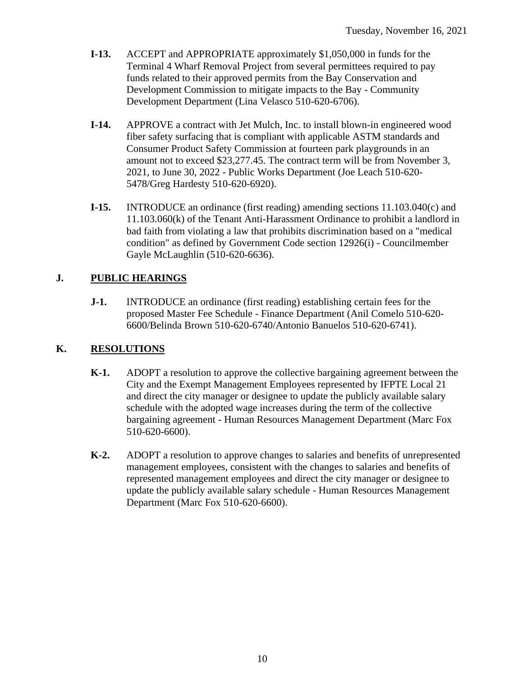- **I-13.** ACCEPT and APPROPRIATE approximately \$1,050,000 in funds for the Terminal 4 Wharf Removal Project from several permittees required to pay funds related to their approved permits from the Bay Conservation and Development Commission to mitigate impacts to the Bay - Community Development Department (Lina Velasco 510-620-6706).
- **I-14.** APPROVE a contract with Jet Mulch, Inc. to install blown-in engineered wood fiber safety surfacing that is compliant with applicable ASTM standards and Consumer Product Safety Commission at fourteen park playgrounds in an amount not to exceed \$23,277.45. The contract term will be from November 3, 2021, to June 30, 2022 - Public Works Department (Joe Leach 510-620- 5478/Greg Hardesty 510-620-6920).
- **I-15.** INTRODUCE an ordinance (first reading) amending sections 11.103.040(c) and 11.103.060(k) of the Tenant Anti-Harassment Ordinance to prohibit a landlord in bad faith from violating a law that prohibits discrimination based on a "medical condition" as defined by Government Code section 12926(i) - Councilmember Gayle McLaughlin (510-620-6636).

#### **J. PUBLIC HEARINGS**

**J-1.** INTRODUCE an ordinance (first reading) establishing certain fees for the proposed Master Fee Schedule - Finance Department (Anil Comelo 510-620- 6600/Belinda Brown 510-620-6740/Antonio Banuelos 510-620-6741).

#### **K. RESOLUTIONS**

- **K-1.** ADOPT a resolution to approve the collective bargaining agreement between the City and the Exempt Management Employees represented by IFPTE Local 21 and direct the city manager or designee to update the publicly available salary schedule with the adopted wage increases during the term of the collective bargaining agreement - Human Resources Management Department (Marc Fox 510-620-6600).
- **K-2.** ADOPT a resolution to approve changes to salaries and benefits of unrepresented management employees, consistent with the changes to salaries and benefits of represented management employees and direct the city manager or designee to update the publicly available salary schedule - Human Resources Management Department (Marc Fox 510-620-6600).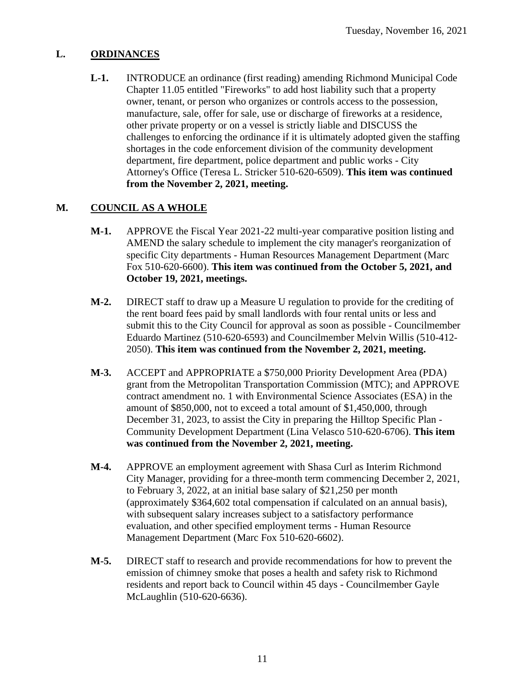#### **L. ORDINANCES**

**L-1.** INTRODUCE an ordinance (first reading) amending Richmond Municipal Code Chapter 11.05 entitled "Fireworks" to add host liability such that a property owner, tenant, or person who organizes or controls access to the possession, manufacture, sale, offer for sale, use or discharge of fireworks at a residence, other private property or on a vessel is strictly liable and DISCUSS the challenges to enforcing the ordinance if it is ultimately adopted given the staffing shortages in the code enforcement division of the community development department, fire department, police department and public works - City Attorney's Office (Teresa L. Stricker 510-620-6509). **This item was continued from the November 2, 2021, meeting.**

#### **M. COUNCIL AS A WHOLE**

- **M-1.** APPROVE the Fiscal Year 2021-22 multi-year comparative position listing and AMEND the salary schedule to implement the city manager's reorganization of specific City departments - Human Resources Management Department (Marc Fox 510-620-6600). **This item was continued from the October 5, 2021, and October 19, 2021, meetings.**
- **M-2.** DIRECT staff to draw up a Measure U regulation to provide for the crediting of the rent board fees paid by small landlords with four rental units or less and submit this to the City Council for approval as soon as possible - Councilmember Eduardo Martinez (510-620-6593) and Councilmember Melvin Willis (510-412- 2050). **This item was continued from the November 2, 2021, meeting.**
- **M-3.** ACCEPT and APPROPRIATE a \$750,000 Priority Development Area (PDA) grant from the Metropolitan Transportation Commission (MTC); and APPROVE contract amendment no. 1 with Environmental Science Associates (ESA) in the amount of \$850,000, not to exceed a total amount of \$1,450,000, through December 31, 2023, to assist the City in preparing the Hilltop Specific Plan - Community Development Department (Lina Velasco 510-620-6706). **This item was continued from the November 2, 2021, meeting.**
- **M-4.** APPROVE an employment agreement with Shasa Curl as Interim Richmond City Manager, providing for a three-month term commencing December 2, 2021, to February 3, 2022, at an initial base salary of \$21,250 per month (approximately \$364,602 total compensation if calculated on an annual basis), with subsequent salary increases subject to a satisfactory performance evaluation, and other specified employment terms - Human Resource Management Department (Marc Fox 510-620-6602).
- **M-5.** DIRECT staff to research and provide recommendations for how to prevent the emission of chimney smoke that poses a health and safety risk to Richmond residents and report back to Council within 45 days - Councilmember Gayle McLaughlin (510-620-6636).